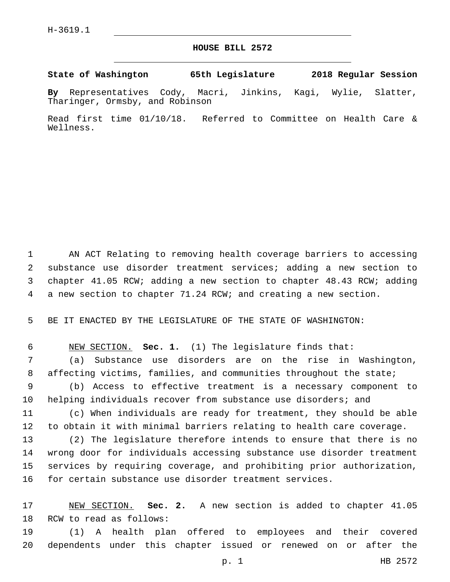## **HOUSE BILL 2572**

**State of Washington 65th Legislature 2018 Regular Session**

**By** Representatives Cody, Macri, Jinkins, Kagi, Wylie, Slatter, Tharinger, Ormsby, and Robinson

Read first time 01/10/18. Referred to Committee on Health Care & Wellness.

 AN ACT Relating to removing health coverage barriers to accessing substance use disorder treatment services; adding a new section to chapter 41.05 RCW; adding a new section to chapter 48.43 RCW; adding a new section to chapter 71.24 RCW; and creating a new section.

BE IT ENACTED BY THE LEGISLATURE OF THE STATE OF WASHINGTON:

 NEW SECTION. **Sec. 1.** (1) The legislature finds that: (a) Substance use disorders are on the rise in Washington, affecting victims, families, and communities throughout the state;

 (b) Access to effective treatment is a necessary component to 10 helping individuals recover from substance use disorders; and

 (c) When individuals are ready for treatment, they should be able to obtain it with minimal barriers relating to health care coverage.

 (2) The legislature therefore intends to ensure that there is no wrong door for individuals accessing substance use disorder treatment services by requiring coverage, and prohibiting prior authorization, for certain substance use disorder treatment services.

 NEW SECTION. **Sec. 2.** A new section is added to chapter 41.05 18 RCW to read as follows:

 (1) A health plan offered to employees and their covered dependents under this chapter issued or renewed on or after the

p. 1 HB 2572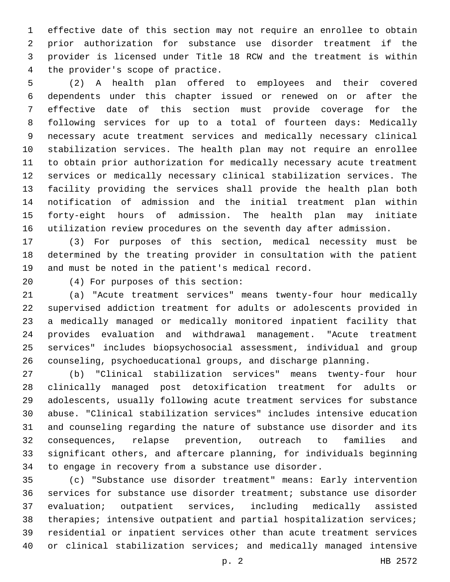effective date of this section may not require an enrollee to obtain prior authorization for substance use disorder treatment if the provider is licensed under Title 18 RCW and the treatment is within 4 the provider's scope of practice.

 (2) A health plan offered to employees and their covered dependents under this chapter issued or renewed on or after the effective date of this section must provide coverage for the following services for up to a total of fourteen days: Medically necessary acute treatment services and medically necessary clinical stabilization services. The health plan may not require an enrollee to obtain prior authorization for medically necessary acute treatment services or medically necessary clinical stabilization services. The facility providing the services shall provide the health plan both notification of admission and the initial treatment plan within forty-eight hours of admission. The health plan may initiate utilization review procedures on the seventh day after admission.

 (3) For purposes of this section, medical necessity must be determined by the treating provider in consultation with the patient and must be noted in the patient's medical record.

(4) For purposes of this section:20

 (a) "Acute treatment services" means twenty-four hour medically supervised addiction treatment for adults or adolescents provided in a medically managed or medically monitored inpatient facility that provides evaluation and withdrawal management. "Acute treatment services" includes biopsychosocial assessment, individual and group counseling, psychoeducational groups, and discharge planning.

 (b) "Clinical stabilization services" means twenty-four hour clinically managed post detoxification treatment for adults or adolescents, usually following acute treatment services for substance abuse. "Clinical stabilization services" includes intensive education and counseling regarding the nature of substance use disorder and its consequences, relapse prevention, outreach to families and significant others, and aftercare planning, for individuals beginning to engage in recovery from a substance use disorder.

 (c) "Substance use disorder treatment" means: Early intervention services for substance use disorder treatment; substance use disorder evaluation; outpatient services, including medically assisted 38 therapies; intensive outpatient and partial hospitalization services; residential or inpatient services other than acute treatment services or clinical stabilization services; and medically managed intensive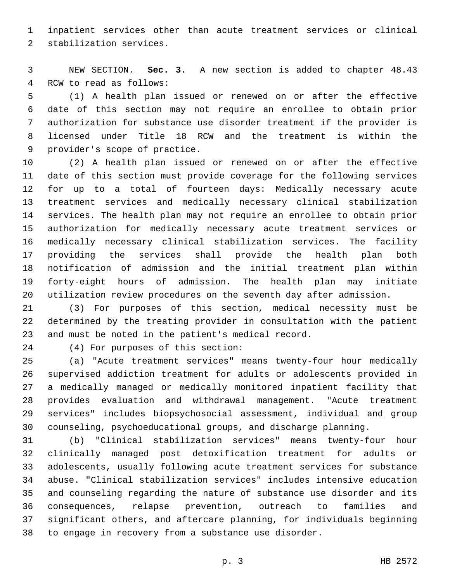inpatient services other than acute treatment services or clinical 2 stabilization services.

 NEW SECTION. **Sec. 3.** A new section is added to chapter 48.43 4 RCW to read as follows:

 (1) A health plan issued or renewed on or after the effective date of this section may not require an enrollee to obtain prior authorization for substance use disorder treatment if the provider is licensed under Title 18 RCW and the treatment is within the 9 provider's scope of practice.

 (2) A health plan issued or renewed on or after the effective date of this section must provide coverage for the following services for up to a total of fourteen days: Medically necessary acute treatment services and medically necessary clinical stabilization services. The health plan may not require an enrollee to obtain prior authorization for medically necessary acute treatment services or medically necessary clinical stabilization services. The facility providing the services shall provide the health plan both notification of admission and the initial treatment plan within forty-eight hours of admission. The health plan may initiate utilization review procedures on the seventh day after admission.

 (3) For purposes of this section, medical necessity must be determined by the treating provider in consultation with the patient and must be noted in the patient's medical record.

(4) For purposes of this section:24

 (a) "Acute treatment services" means twenty-four hour medically supervised addiction treatment for adults or adolescents provided in a medically managed or medically monitored inpatient facility that provides evaluation and withdrawal management. "Acute treatment services" includes biopsychosocial assessment, individual and group counseling, psychoeducational groups, and discharge planning.

 (b) "Clinical stabilization services" means twenty-four hour clinically managed post detoxification treatment for adults or adolescents, usually following acute treatment services for substance abuse. "Clinical stabilization services" includes intensive education and counseling regarding the nature of substance use disorder and its consequences, relapse prevention, outreach to families and significant others, and aftercare planning, for individuals beginning to engage in recovery from a substance use disorder.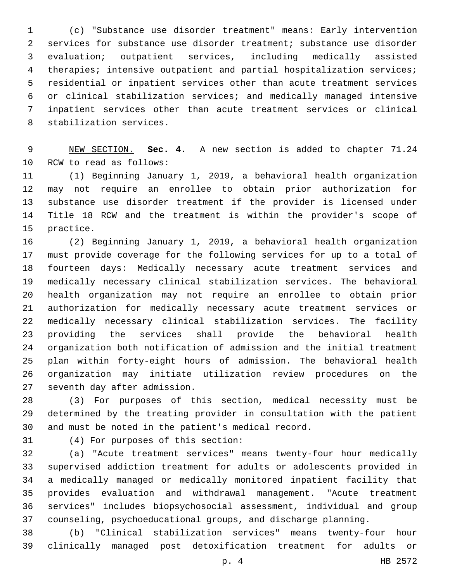(c) "Substance use disorder treatment" means: Early intervention services for substance use disorder treatment; substance use disorder evaluation; outpatient services, including medically assisted therapies; intensive outpatient and partial hospitalization services; residential or inpatient services other than acute treatment services or clinical stabilization services; and medically managed intensive inpatient services other than acute treatment services or clinical 8 stabilization services.

 NEW SECTION. **Sec. 4.** A new section is added to chapter 71.24 10 RCW to read as follows:

 (1) Beginning January 1, 2019, a behavioral health organization may not require an enrollee to obtain prior authorization for substance use disorder treatment if the provider is licensed under Title 18 RCW and the treatment is within the provider's scope of 15 practice.

 (2) Beginning January 1, 2019, a behavioral health organization must provide coverage for the following services for up to a total of fourteen days: Medically necessary acute treatment services and medically necessary clinical stabilization services. The behavioral health organization may not require an enrollee to obtain prior authorization for medically necessary acute treatment services or medically necessary clinical stabilization services. The facility providing the services shall provide the behavioral health organization both notification of admission and the initial treatment plan within forty-eight hours of admission. The behavioral health organization may initiate utilization review procedures on the 27 seventh day after admission.

 (3) For purposes of this section, medical necessity must be determined by the treating provider in consultation with the patient and must be noted in the patient's medical record.

(4) For purposes of this section:31

 (a) "Acute treatment services" means twenty-four hour medically supervised addiction treatment for adults or adolescents provided in a medically managed or medically monitored inpatient facility that provides evaluation and withdrawal management. "Acute treatment services" includes biopsychosocial assessment, individual and group counseling, psychoeducational groups, and discharge planning.

 (b) "Clinical stabilization services" means twenty-four hour clinically managed post detoxification treatment for adults or